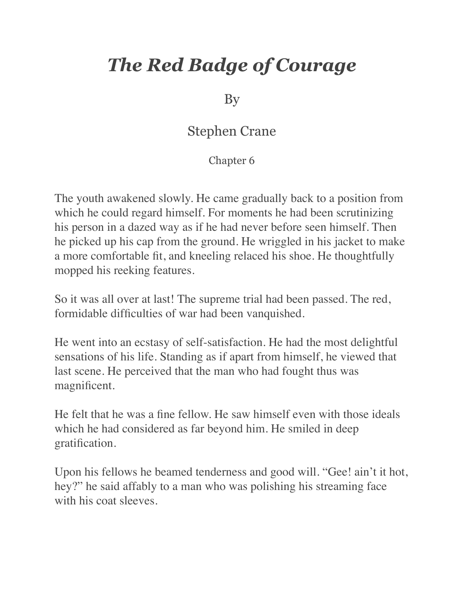## *The Red Badge of Courage*

By

## Stephen Crane

Chapter 6

The youth awakened slowly. He came gradually back to a position from which he could regard himself. For moments he had been scrutinizing his person in a dazed way as if he had never before seen himself. Then he picked up his cap from the ground. He wriggled in his jacket to make a more comfortable fit, and kneeling relaced his shoe. He thoughtfully mopped his reeking features.

So it was all over at last! The supreme trial had been passed. The red, formidable difficulties of war had been vanquished.

He went into an ecstasy of self-satisfaction. He had the most delightful sensations of his life. Standing as if apart from himself, he viewed that last scene. He perceived that the man who had fought thus was magnificent.

He felt that he was a fine fellow. He saw himself even with those ideals which he had considered as far beyond him. He smiled in deep gratification.

Upon his fellows he beamed tenderness and good will. "Gee! ain't it hot, hey?" he said affably to a man who was polishing his streaming face with his coat sleeves.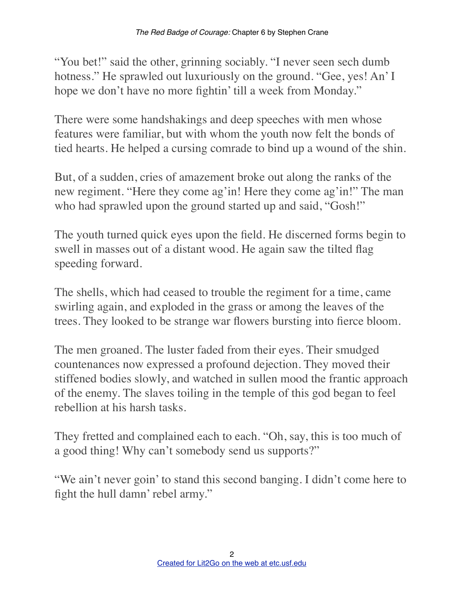"You bet!" said the other, grinning sociably. "I never seen sech dumb" hotness." He sprawled out luxuriously on the ground. "Gee, yes! An' I hope we don't have no more fightin' till a week from Monday."

There were some handshakings and deep speeches with men whose features were familiar, but with whom the youth now felt the bonds of tied hearts. He helped a cursing comrade to bind up a wound of the shin.

But, of a sudden, cries of amazement broke out along the ranks of the new regiment. "Here they come ag'in! Here they come ag'in!" The man who had sprawled upon the ground started up and said, "Gosh!"

The youth turned quick eyes upon the field. He discerned forms begin to swell in masses out of a distant wood. He again saw the tilted flag speeding forward.

The shells, which had ceased to trouble the regiment for a time, came swirling again, and exploded in the grass or among the leaves of the trees. They looked to be strange war flowers bursting into fierce bloom.

The men groaned. The luster faded from their eyes. Their smudged countenances now expressed a profound dejection. They moved their stiffened bodies slowly, and watched in sullen mood the frantic approach of the enemy. The slaves toiling in the temple of this god began to feel rebellion at his harsh tasks.

They fretted and complained each to each. "Oh, say, this is too much of a good thing! Why can't somebody send us supports?"

"We ain't never goin' to stand this second banging. I didn't come here to fight the hull damn' rebel army."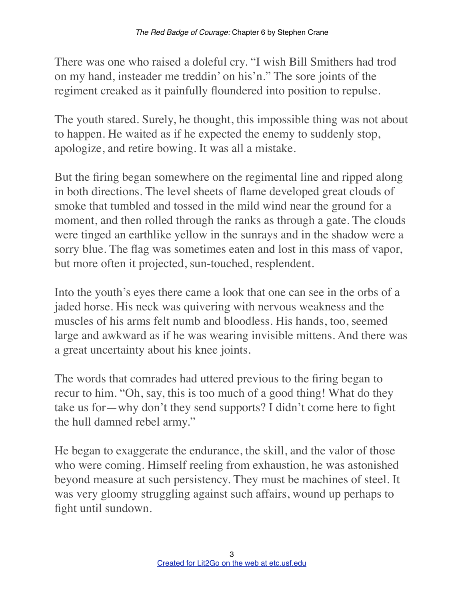There was one who raised a doleful cry. "I wish Bill Smithers had trod on my hand, insteader me treddin' on his'n." The sore joints of the regiment creaked as it painfully floundered into position to repulse.

The youth stared. Surely, he thought, this impossible thing was not about to happen. He waited as if he expected the enemy to suddenly stop, apologize, and retire bowing. It was all a mistake.

But the firing began somewhere on the regimental line and ripped along in both directions. The level sheets of flame developed great clouds of smoke that tumbled and tossed in the mild wind near the ground for a moment, and then rolled through the ranks as through a gate. The clouds were tinged an earthlike yellow in the sunrays and in the shadow were a sorry blue. The flag was sometimes eaten and lost in this mass of vapor, but more often it projected, sun-touched, resplendent.

Into the youth's eyes there came a look that one can see in the orbs of a jaded horse. His neck was quivering with nervous weakness and the muscles of his arms felt numb and bloodless. His hands, too, seemed large and awkward as if he was wearing invisible mittens. And there was a great uncertainty about his knee joints.

The words that comrades had uttered previous to the firing began to recur to him. "Oh, say, this is too much of a good thing! What do they take us for—why don't they send supports? I didn't come here to fight the hull damned rebel army."

He began to exaggerate the endurance, the skill, and the valor of those who were coming. Himself reeling from exhaustion, he was astonished beyond measure at such persistency. They must be machines of steel. It was very gloomy struggling against such affairs, wound up perhaps to fight until sundown.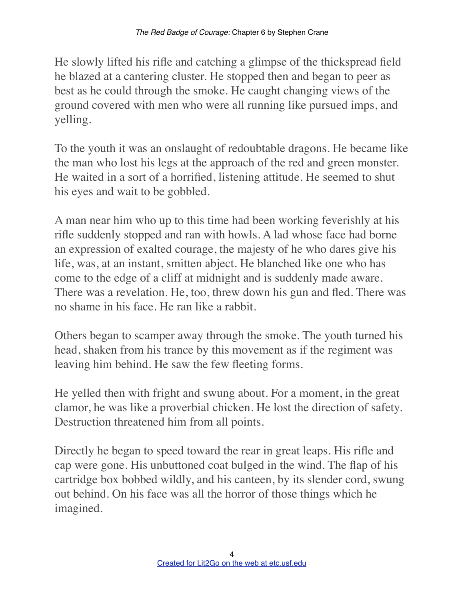He slowly lifted his rifle and catching a glimpse of the thickspread field he blazed at a cantering cluster. He stopped then and began to peer as best as he could through the smoke. He caught changing views of the ground covered with men who were all running like pursued imps, and yelling.

To the youth it was an onslaught of redoubtable dragons. He became like the man who lost his legs at the approach of the red and green monster. He waited in a sort of a horrified, listening attitude. He seemed to shut his eyes and wait to be gobbled.

A man near him who up to this time had been working feverishly at his rifle suddenly stopped and ran with howls. A lad whose face had borne an expression of exalted courage, the majesty of he who dares give his life, was, at an instant, smitten abject. He blanched like one who has come to the edge of a cliff at midnight and is suddenly made aware. There was a revelation. He, too, threw down his gun and fled. There was no shame in his face. He ran like a rabbit.

Others began to scamper away through the smoke. The youth turned his head, shaken from his trance by this movement as if the regiment was leaving him behind. He saw the few fleeting forms.

He yelled then with fright and swung about. For a moment, in the great clamor, he was like a proverbial chicken. He lost the direction of safety. Destruction threatened him from all points.

Directly he began to speed toward the rear in great leaps. His rifle and cap were gone. His unbuttoned coat bulged in the wind. The flap of his cartridge box bobbed wildly, and his canteen, by its slender cord, swung out behind. On his face was all the horror of those things which he imagined.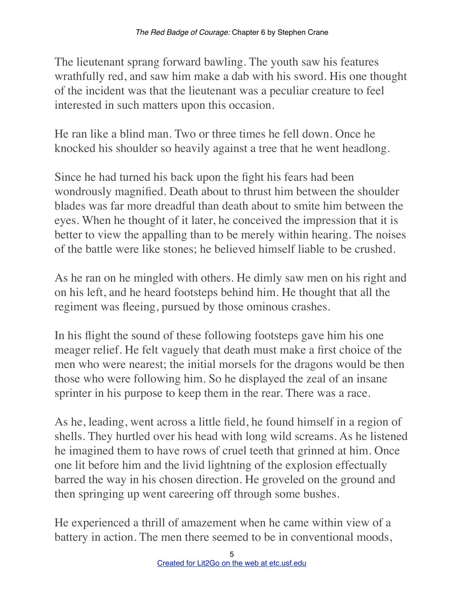The lieutenant sprang forward bawling. The youth saw his features wrathfully red, and saw him make a dab with his sword. His one thought of the incident was that the lieutenant was a peculiar creature to feel interested in such matters upon this occasion.

He ran like a blind man. Two or three times he fell down. Once he knocked his shoulder so heavily against a tree that he went headlong.

Since he had turned his back upon the fight his fears had been wondrously magnified. Death about to thrust him between the shoulder blades was far more dreadful than death about to smite him between the eyes. When he thought of it later, he conceived the impression that it is better to view the appalling than to be merely within hearing. The noises of the battle were like stones; he believed himself liable to be crushed.

As he ran on he mingled with others. He dimly saw men on his right and on his left, and he heard footsteps behind him. He thought that all the regiment was fleeing, pursued by those ominous crashes.

In his flight the sound of these following footsteps gave him his one meager relief. He felt vaguely that death must make a first choice of the men who were nearest; the initial morsels for the dragons would be then those who were following him. So he displayed the zeal of an insane sprinter in his purpose to keep them in the rear. There was a race.

As he, leading, went across a little field, he found himself in a region of shells. They hurtled over his head with long wild screams. As he listened he imagined them to have rows of cruel teeth that grinned at him. Once one lit before him and the livid lightning of the explosion effectually barred the way in his chosen direction. He groveled on the ground and then springing up went careering off through some bushes.

He experienced a thrill of amazement when he came within view of a battery in action. The men there seemed to be in conventional moods,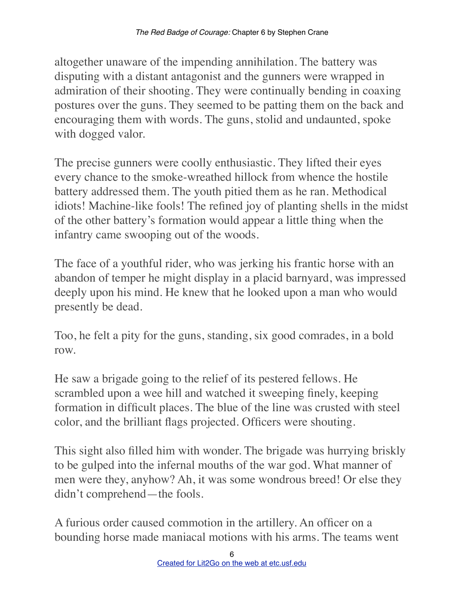altogether unaware of the impending annihilation. The battery was disputing with a distant antagonist and the gunners were wrapped in admiration of their shooting. They were continually bending in coaxing postures over the guns. They seemed to be patting them on the back and encouraging them with words. The guns, stolid and undaunted, spoke with dogged valor.

The precise gunners were coolly enthusiastic. They lifted their eyes every chance to the smoke-wreathed hillock from whence the hostile battery addressed them. The youth pitied them as he ran. Methodical idiots! Machine-like fools! The refined joy of planting shells in the midst of the other battery's formation would appear a little thing when the infantry came swooping out of the woods.

The face of a youthful rider, who was jerking his frantic horse with an abandon of temper he might display in a placid barnyard, was impressed deeply upon his mind. He knew that he looked upon a man who would presently be dead.

Too, he felt a pity for the guns, standing, six good comrades, in a bold row.

He saw a brigade going to the relief of its pestered fellows. He scrambled upon a wee hill and watched it sweeping finely, keeping formation in difficult places. The blue of the line was crusted with steel color, and the brilliant flags projected. Officers were shouting.

This sight also filled him with wonder. The brigade was hurrying briskly to be gulped into the infernal mouths of the war god. What manner of men were they, anyhow? Ah, it was some wondrous breed! Or else they didn't comprehend—the fools.

A furious order caused commotion in the artillery. An officer on a bounding horse made maniacal motions with his arms. The teams went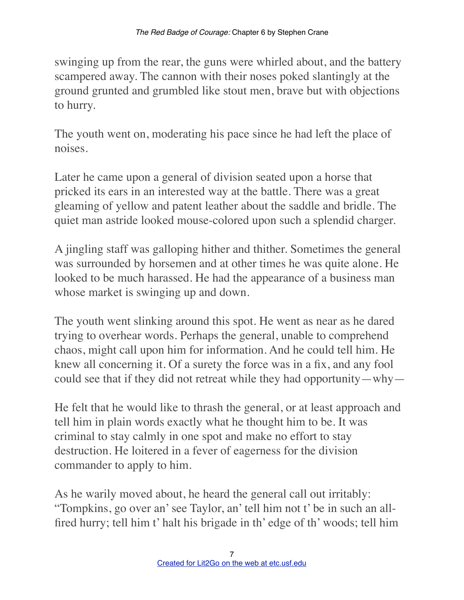swinging up from the rear, the guns were whirled about, and the battery scampered away. The cannon with their noses poked slantingly at the ground grunted and grumbled like stout men, brave but with objections to hurry.

The youth went on, moderating his pace since he had left the place of noises.

Later he came upon a general of division seated upon a horse that pricked its ears in an interested way at the battle. There was a great gleaming of yellow and patent leather about the saddle and bridle. The quiet man astride looked mouse-colored upon such a splendid charger.

A jingling staff was galloping hither and thither. Sometimes the general was surrounded by horsemen and at other times he was quite alone. He looked to be much harassed. He had the appearance of a business man whose market is swinging up and down.

The youth went slinking around this spot. He went as near as he dared trying to overhear words. Perhaps the general, unable to comprehend chaos, might call upon him for information. And he could tell him. He knew all concerning it. Of a surety the force was in a fix, and any fool could see that if they did not retreat while they had opportunity—why—

He felt that he would like to thrash the general, or at least approach and tell him in plain words exactly what he thought him to be. It was criminal to stay calmly in one spot and make no effort to stay destruction. He loitered in a fever of eagerness for the division commander to apply to him.

As he warily moved about, he heard the general call out irritably: "Tompkins, go over an' see Taylor, an' tell him not t' be in such an allfired hurry; tell him t' halt his brigade in th' edge of th' woods; tell him